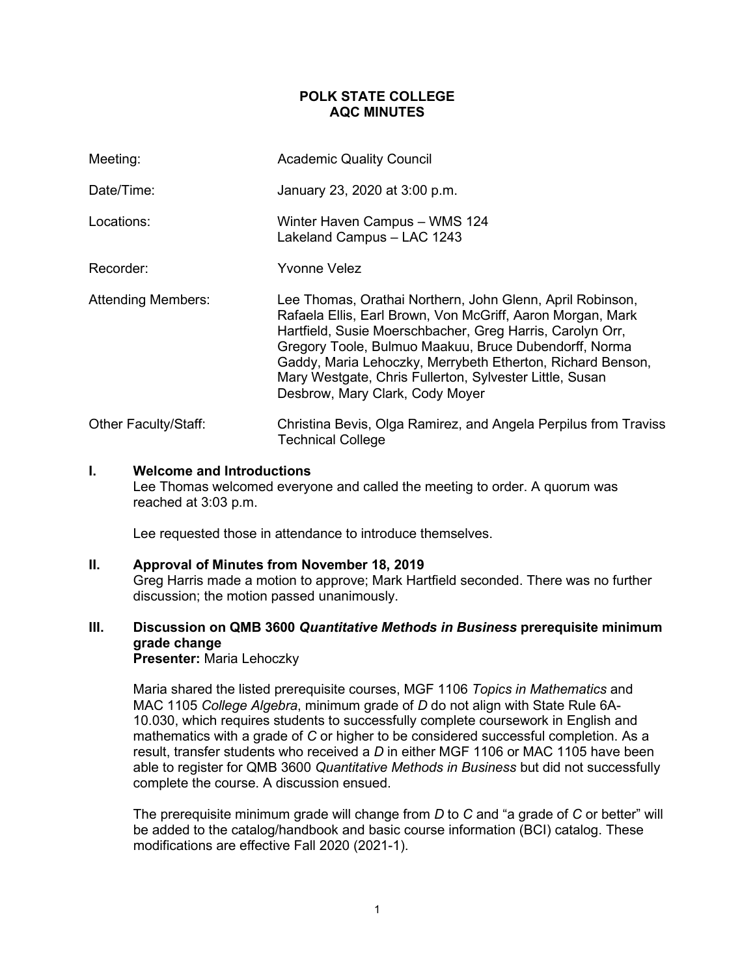# **POLK STATE COLLEGE AQC MINUTES**

| Meeting:                  | <b>Academic Quality Council</b>                                                                                                                                                                                                                                                                                                                                                                           |
|---------------------------|-----------------------------------------------------------------------------------------------------------------------------------------------------------------------------------------------------------------------------------------------------------------------------------------------------------------------------------------------------------------------------------------------------------|
| Date/Time:                | January 23, 2020 at 3:00 p.m.                                                                                                                                                                                                                                                                                                                                                                             |
| Locations:                | Winter Haven Campus - WMS 124<br>Lakeland Campus - LAC 1243                                                                                                                                                                                                                                                                                                                                               |
| Recorder:                 | Yvonne Velez                                                                                                                                                                                                                                                                                                                                                                                              |
| <b>Attending Members:</b> | Lee Thomas, Orathai Northern, John Glenn, April Robinson,<br>Rafaela Ellis, Earl Brown, Von McGriff, Aaron Morgan, Mark<br>Hartfield, Susie Moerschbacher, Greg Harris, Carolyn Orr,<br>Gregory Toole, Bulmuo Maakuu, Bruce Dubendorff, Norma<br>Gaddy, Maria Lehoczky, Merrybeth Etherton, Richard Benson,<br>Mary Westgate, Chris Fullerton, Sylvester Little, Susan<br>Desbrow, Mary Clark, Cody Moyer |
| Other Faculty/Staff:      | Christina Bevis, Olga Ramirez, and Angela Perpilus from Traviss<br><b>Technical College</b>                                                                                                                                                                                                                                                                                                               |

### **I. Welcome and Introductions**

Lee Thomas welcomed everyone and called the meeting to order. A quorum was reached at 3:03 p.m.

Lee requested those in attendance to introduce themselves.

## **II. Approval of Minutes from November 18, 2019**

Greg Harris made a motion to approve; Mark Hartfield seconded. There was no further discussion; the motion passed unanimously.

# **III. Discussion on QMB 3600** *Quantitative Methods in Business* **prerequisite minimum grade change**

**Presenter:** Maria Lehoczky

Maria shared the listed prerequisite courses, MGF 1106 *Topics in Mathematics* and MAC 1105 *College Algebra*, minimum grade of *D* do not align with State Rule 6A-10.030, which requires students to successfully complete coursework in English and mathematics with a grade of *C* or higher to be considered successful completion. As a result, transfer students who received a *D* in either MGF 1106 or MAC 1105 have been able to register for QMB 3600 *Quantitative Methods in Business* but did not successfully complete the course. A discussion ensued.

The prerequisite minimum grade will change from *D* to *C* and "a grade of *C* or better" will be added to the catalog/handbook and basic course information (BCI) catalog. These modifications are effective Fall 2020 (2021-1).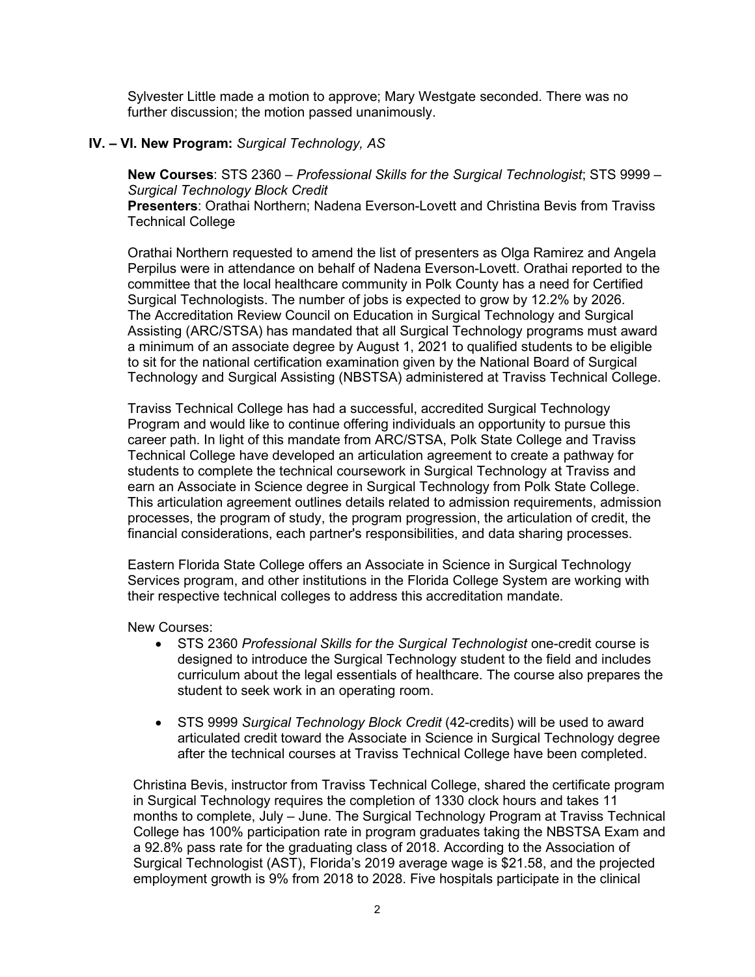Sylvester Little made a motion to approve; Mary Westgate seconded. There was no further discussion; the motion passed unanimously.

# **IV. – VI. New Program:** *Surgical Technology, AS*

**New Courses**: STS 2360 – *Professional Skills for the Surgical Technologist*; STS 9999 – *Surgical Technology Block Credit*

**Presenters**: Orathai Northern; Nadena Everson-Lovett and Christina Bevis from Traviss Technical College

Orathai Northern requested to amend the list of presenters as Olga Ramirez and Angela Perpilus were in attendance on behalf of Nadena Everson-Lovett. Orathai reported to the committee that the local healthcare community in Polk County has a need for Certified Surgical Technologists. The number of jobs is expected to grow by 12.2% by 2026. The Accreditation Review Council on Education in Surgical Technology and Surgical Assisting (ARC/STSA) has mandated that all Surgical Technology programs must award a minimum of an associate degree by August 1, 2021 to qualified students to be eligible to sit for the national certification examination given by the National Board of Surgical Technology and Surgical Assisting (NBSTSA) administered at Traviss Technical College.

Traviss Technical College has had a successful, accredited Surgical Technology Program and would like to continue offering individuals an opportunity to pursue this career path. In light of this mandate from ARC/STSA, Polk State College and Traviss Technical College have developed an articulation agreement to create a pathway for students to complete the technical coursework in Surgical Technology at Traviss and earn an Associate in Science degree in Surgical Technology from Polk State College. This articulation agreement outlines details related to admission requirements, admission processes, the program of study, the program progression, the articulation of credit, the financial considerations, each partner's responsibilities, and data sharing processes.

Eastern Florida State College offers an Associate in Science in Surgical Technology Services program, and other institutions in the Florida College System are working with their respective technical colleges to address this accreditation mandate.

New Courses:

- STS 2360 *Professional Skills for the Surgical Technologist* one-credit course is designed to introduce the Surgical Technology student to the field and includes curriculum about the legal essentials of healthcare. The course also prepares the student to seek work in an operating room.
- STS 9999 *Surgical Technology Block Credit* (42-credits) will be used to award articulated credit toward the Associate in Science in Surgical Technology degree after the technical courses at Traviss Technical College have been completed.

Christina Bevis, instructor from Traviss Technical College, shared the certificate program in Surgical Technology requires the completion of 1330 clock hours and takes 11 months to complete, July – June. The Surgical Technology Program at Traviss Technical College has 100% participation rate in program graduates taking the NBSTSA Exam and a 92.8% pass rate for the graduating class of 2018. According to the Association of Surgical Technologist (AST), Florida's 2019 average wage is \$21.58, and the projected employment growth is 9% from 2018 to 2028. Five hospitals participate in the clinical